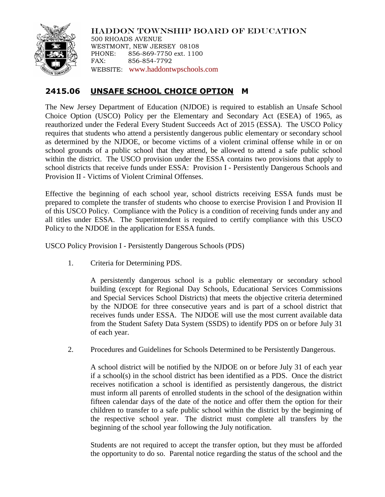

HADDON TOWNSHIP BOARD OF EDUCATION 500 RHOADS AVENUE WESTMONT, NEW JERSEY 08108 PHONE: 856-869-7750 ext. 1100 FAX: 856-854-7792 WEBSITE: [www.haddontwpschools.com](http://www.haddontwpschools.com/)

## **2415.06 UNSAFE SCHOOL CHOICE OPTION M**

The New Jersey Department of Education (NJDOE) is required to establish an Unsafe School Choice Option (USCO) Policy per the Elementary and Secondary Act (ESEA) of 1965, as reauthorized under the Federal Every Student Succeeds Act of 2015 (ESSA). The USCO Policy requires that students who attend a persistently dangerous public elementary or secondary school as determined by the NJDOE, or become victims of a violent criminal offense while in or on school grounds of a public school that they attend, be allowed to attend a safe public school within the district. The USCO provision under the ESSA contains two provisions that apply to school districts that receive funds under ESSA: Provision I - Persistently Dangerous Schools and Provision II - Victims of Violent Criminal Offenses.

Effective the beginning of each school year, school districts receiving ESSA funds must be prepared to complete the transfer of students who choose to exercise Provision I and Provision II of this USCO Policy. Compliance with the Policy is a condition of receiving funds under any and all titles under ESSA. The Superintendent is required to certify compliance with this USCO Policy to the NJDOE in the application for ESSA funds.

USCO Policy Provision I - Persistently Dangerous Schools (PDS)

1. Criteria for Determining PDS.

A persistently dangerous school is a public elementary or secondary school building (except for Regional Day Schools, Educational Services Commissions and Special Services School Districts) that meets the objective criteria determined by the NJDOE for three consecutive years and is part of a school district that receives funds under ESSA. The NJDOE will use the most current available data from the Student Safety Data System (SSDS) to identify PDS on or before July 31 of each year.

2. Procedures and Guidelines for Schools Determined to be Persistently Dangerous.

A school district will be notified by the NJDOE on or before July 31 of each year if a school(s) in the school district has been identified as a PDS. Once the district receives notification a school is identified as persistently dangerous, the district must inform all parents of enrolled students in the school of the designation within fifteen calendar days of the date of the notice and offer them the option for their children to transfer to a safe public school within the district by the beginning of the respective school year. The district must complete all transfers by the beginning of the school year following the July notification.

Students are not required to accept the transfer option, but they must be afforded the opportunity to do so. Parental notice regarding the status of the school and the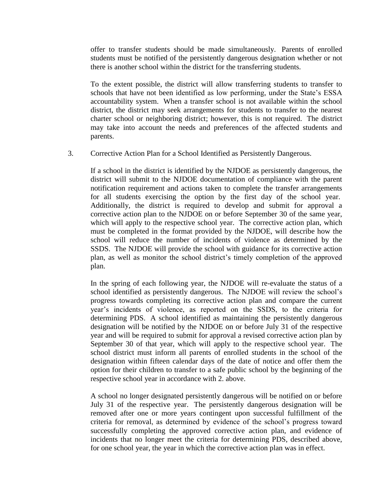offer to transfer students should be made simultaneously. Parents of enrolled students must be notified of the persistently dangerous designation whether or not there is another school within the district for the transferring students.

To the extent possible, the district will allow transferring students to transfer to schools that have not been identified as low performing, under the State's ESSA accountability system. When a transfer school is not available within the school district, the district may seek arrangements for students to transfer to the nearest charter school or neighboring district; however, this is not required. The district may take into account the needs and preferences of the affected students and parents.

3. Corrective Action Plan for a School Identified as Persistently Dangerous.

If a school in the district is identified by the NJDOE as persistently dangerous, the district will submit to the NJDOE documentation of compliance with the parent notification requirement and actions taken to complete the transfer arrangements for all students exercising the option by the first day of the school year. Additionally, the district is required to develop and submit for approval a corrective action plan to the NJDOE on or before September 30 of the same year, which will apply to the respective school year. The corrective action plan, which must be completed in the format provided by the NJDOE, will describe how the school will reduce the number of incidents of violence as determined by the SSDS. The NJDOE will provide the school with guidance for its corrective action plan, as well as monitor the school district's timely completion of the approved plan.

In the spring of each following year, the NJDOE will re-evaluate the status of a school identified as persistently dangerous. The NJDOE will review the school's progress towards completing its corrective action plan and compare the current year's incidents of violence, as reported on the SSDS, to the criteria for determining PDS. A school identified as maintaining the persistently dangerous designation will be notified by the NJDOE on or before July 31 of the respective year and will be required to submit for approval a revised corrective action plan by September 30 of that year, which will apply to the respective school year. The school district must inform all parents of enrolled students in the school of the designation within fifteen calendar days of the date of notice and offer them the option for their children to transfer to a safe public school by the beginning of the respective school year in accordance with 2. above.

A school no longer designated persistently dangerous will be notified on or before July 31 of the respective year. The persistently dangerous designation will be removed after one or more years contingent upon successful fulfillment of the criteria for removal, as determined by evidence of the school's progress toward successfully completing the approved corrective action plan, and evidence of incidents that no longer meet the criteria for determining PDS, described above, for one school year, the year in which the corrective action plan was in effect.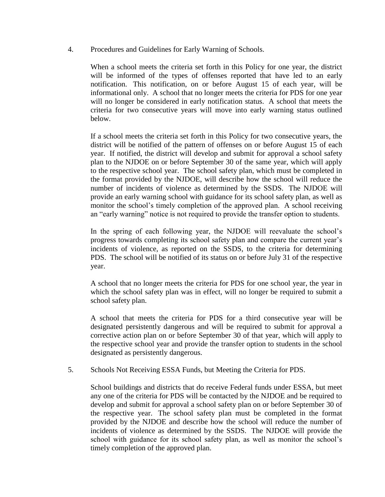4. Procedures and Guidelines for Early Warning of Schools.

When a school meets the criteria set forth in this Policy for one year, the district will be informed of the types of offenses reported that have led to an early notification. This notification, on or before August 15 of each year, will be informational only. A school that no longer meets the criteria for PDS for one year will no longer be considered in early notification status. A school that meets the criteria for two consecutive years will move into early warning status outlined below.

If a school meets the criteria set forth in this Policy for two consecutive years, the district will be notified of the pattern of offenses on or before August 15 of each year. If notified, the district will develop and submit for approval a school safety plan to the NJDOE on or before September 30 of the same year, which will apply to the respective school year. The school safety plan, which must be completed in the format provided by the NJDOE, will describe how the school will reduce the number of incidents of violence as determined by the SSDS. The NJDOE will provide an early warning school with guidance for its school safety plan, as well as monitor the school's timely completion of the approved plan. A school receiving an "early warning" notice is not required to provide the transfer option to students.

In the spring of each following year, the NJDOE will reevaluate the school's progress towards completing its school safety plan and compare the current year's incidents of violence, as reported on the SSDS, to the criteria for determining PDS. The school will be notified of its status on or before July 31 of the respective year.

A school that no longer meets the criteria for PDS for one school year, the year in which the school safety plan was in effect, will no longer be required to submit a school safety plan.

A school that meets the criteria for PDS for a third consecutive year will be designated persistently dangerous and will be required to submit for approval a corrective action plan on or before September 30 of that year, which will apply to the respective school year and provide the transfer option to students in the school designated as persistently dangerous.

5. Schools Not Receiving ESSA Funds, but Meeting the Criteria for PDS.

School buildings and districts that do receive Federal funds under ESSA, but meet any one of the criteria for PDS will be contacted by the NJDOE and be required to develop and submit for approval a school safety plan on or before September 30 of the respective year. The school safety plan must be completed in the format provided by the NJDOE and describe how the school will reduce the number of incidents of violence as determined by the SSDS. The NJDOE will provide the school with guidance for its school safety plan, as well as monitor the school's timely completion of the approved plan.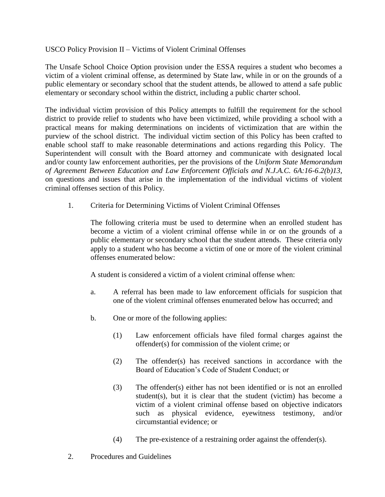## USCO Policy Provision II – Victims of Violent Criminal Offenses

The Unsafe School Choice Option provision under the ESSA requires a student who becomes a victim of a violent criminal offense, as determined by State law, while in or on the grounds of a public elementary or secondary school that the student attends, be allowed to attend a safe public elementary or secondary school within the district, including a public charter school.

The individual victim provision of this Policy attempts to fulfill the requirement for the school district to provide relief to students who have been victimized, while providing a school with a practical means for making determinations on incidents of victimization that are within the purview of the school district. The individual victim section of this Policy has been crafted to enable school staff to make reasonable determinations and actions regarding this Policy. The Superintendent will consult with the Board attorney and communicate with designated local and/or county law enforcement authorities, per the provisions of the *Uniform State Memorandum of Agreement Between Education and Law Enforcement Officials and N.J.A.C. 6A:16-6.2(b)13*, on questions and issues that arise in the implementation of the individual victims of violent criminal offenses section of this Policy.

1. Criteria for Determining Victims of Violent Criminal Offenses

The following criteria must be used to determine when an enrolled student has become a victim of a violent criminal offense while in or on the grounds of a public elementary or secondary school that the student attends. These criteria only apply to a student who has become a victim of one or more of the violent criminal offenses enumerated below:

A student is considered a victim of a violent criminal offense when:

- a. A referral has been made to law enforcement officials for suspicion that one of the violent criminal offenses enumerated below has occurred; and
- b. One or more of the following applies:
	- (1) Law enforcement officials have filed formal charges against the offender(s) for commission of the violent crime; or
	- (2) The offender(s) has received sanctions in accordance with the Board of Education's Code of Student Conduct; or
	- (3) The offender(s) either has not been identified or is not an enrolled student(s), but it is clear that the student (victim) has become a victim of a violent criminal offense based on objective indicators such as physical evidence, eyewitness testimony, and/or circumstantial evidence; or
	- (4) The pre-existence of a restraining order against the offender(s).
- 2. Procedures and Guidelines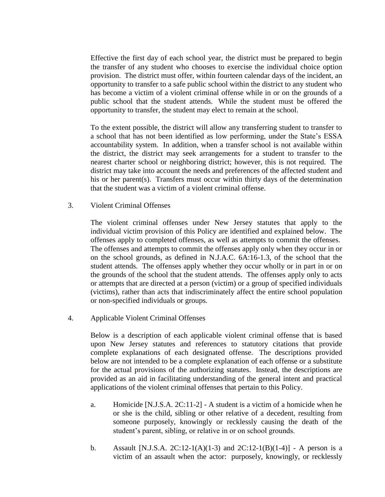Effective the first day of each school year, the district must be prepared to begin the transfer of any student who chooses to exercise the individual choice option provision. The district must offer, within fourteen calendar days of the incident, an opportunity to transfer to a safe public school within the district to any student who has become a victim of a violent criminal offense while in or on the grounds of a public school that the student attends. While the student must be offered the opportunity to transfer, the student may elect to remain at the school.

To the extent possible, the district will allow any transferring student to transfer to a school that has not been identified as low performing, under the State's ESSA accountability system. In addition, when a transfer school is not available within the district, the district may seek arrangements for a student to transfer to the nearest charter school or neighboring district; however, this is not required. The district may take into account the needs and preferences of the affected student and his or her parent(s). Transfers must occur within thirty days of the determination that the student was a victim of a violent criminal offense.

3. Violent Criminal Offenses

The violent criminal offenses under New Jersey statutes that apply to the individual victim provision of this Policy are identified and explained below. The offenses apply to completed offenses, as well as attempts to commit the offenses. The offenses and attempts to commit the offenses apply only when they occur in or on the school grounds, as defined in N.J.A.C. 6A:16-1.3, of the school that the student attends. The offenses apply whether they occur wholly or in part in or on the grounds of the school that the student attends. The offenses apply only to acts or attempts that are directed at a person (victim) or a group of specified individuals (victims), rather than acts that indiscriminately affect the entire school population or non-specified individuals or groups.

4. Applicable Violent Criminal Offenses

Below is a description of each applicable violent criminal offense that is based upon New Jersey statutes and references to statutory citations that provide complete explanations of each designated offense. The descriptions provided below are not intended to be a complete explanation of each offense or a substitute for the actual provisions of the authorizing statutes. Instead, the descriptions are provided as an aid in facilitating understanding of the general intent and practical applications of the violent criminal offenses that pertain to this Policy.

- a. Homicide [N.J.S.A. 2C:11-2] A student is a victim of a homicide when he or she is the child, sibling or other relative of a decedent, resulting from someone purposely, knowingly or recklessly causing the death of the student's parent, sibling, or relative in or on school grounds.
- b. Assault [N.J.S.A. 2C:12-1(A)(1-3) and  $2C:12-1(B)(1-4)$ ] A person is a victim of an assault when the actor: purposely, knowingly, or recklessly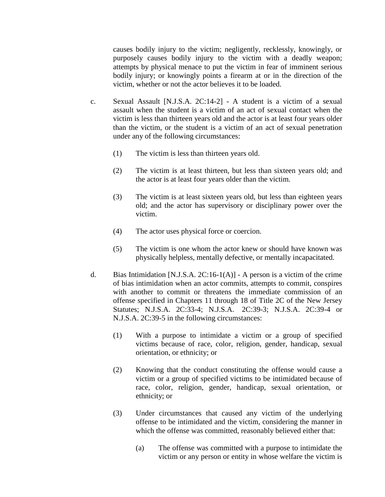causes bodily injury to the victim; negligently, recklessly, knowingly, or purposely causes bodily injury to the victim with a deadly weapon; attempts by physical menace to put the victim in fear of imminent serious bodily injury; or knowingly points a firearm at or in the direction of the victim, whether or not the actor believes it to be loaded.

- c. Sexual Assault [N.J.S.A. 2C:14-2] A student is a victim of a sexual assault when the student is a victim of an act of sexual contact when the victim is less than thirteen years old and the actor is at least four years older than the victim, or the student is a victim of an act of sexual penetration under any of the following circumstances:
	- (1) The victim is less than thirteen years old.
	- (2) The victim is at least thirteen, but less than sixteen years old; and the actor is at least four years older than the victim.
	- (3) The victim is at least sixteen years old, but less than eighteen years old; and the actor has supervisory or disciplinary power over the victim.
	- (4) The actor uses physical force or coercion.
	- (5) The victim is one whom the actor knew or should have known was physically helpless, mentally defective, or mentally incapacitated.
- d. Bias Intimidation [N.J.S.A. 2C:16-1(A)] A person is a victim of the crime of bias intimidation when an actor commits, attempts to commit, conspires with another to commit or threatens the immediate commission of an offense specified in Chapters 11 through 18 of Title 2C of the New Jersey Statutes; N.J.S.A. 2C:33-4; N.J.S.A. 2C:39-3; N.J.S.A. 2C:39-4 or N.J.S.A. 2C:39-5 in the following circumstances:
	- (1) With a purpose to intimidate a victim or a group of specified victims because of race, color, religion, gender, handicap, sexual orientation, or ethnicity; or
	- (2) Knowing that the conduct constituting the offense would cause a victim or a group of specified victims to be intimidated because of race, color, religion, gender, handicap, sexual orientation, or ethnicity; or
	- (3) Under circumstances that caused any victim of the underlying offense to be intimidated and the victim, considering the manner in which the offense was committed, reasonably believed either that:
		- (a) The offense was committed with a purpose to intimidate the victim or any person or entity in whose welfare the victim is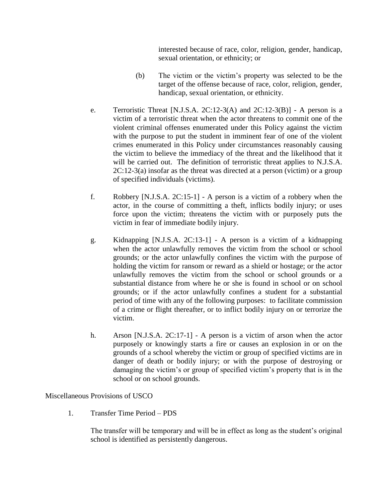interested because of race, color, religion, gender, handicap, sexual orientation, or ethnicity; or

- (b) The victim or the victim's property was selected to be the target of the offense because of race, color, religion, gender, handicap, sexual orientation, or ethnicity.
- e. Terroristic Threat [N.J.S.A. 2C:12-3(A) and 2C:12-3(B)] A person is a victim of a terroristic threat when the actor threatens to commit one of the violent criminal offenses enumerated under this Policy against the victim with the purpose to put the student in imminent fear of one of the violent crimes enumerated in this Policy under circumstances reasonably causing the victim to believe the immediacy of the threat and the likelihood that it will be carried out. The definition of terroristic threat applies to N.J.S.A. 2C:12-3(a) insofar as the threat was directed at a person (victim) or a group of specified individuals (victims).
- f. Robbery [N.J.S.A. 2C:15-1] A person is a victim of a robbery when the actor, in the course of committing a theft, inflicts bodily injury; or uses force upon the victim; threatens the victim with or purposely puts the victim in fear of immediate bodily injury.
- g. Kidnapping [N.J.S.A. 2C:13-1] A person is a victim of a kidnapping when the actor unlawfully removes the victim from the school or school grounds; or the actor unlawfully confines the victim with the purpose of holding the victim for ransom or reward as a shield or hostage; or the actor unlawfully removes the victim from the school or school grounds or a substantial distance from where he or she is found in school or on school grounds; or if the actor unlawfully confines a student for a substantial period of time with any of the following purposes: to facilitate commission of a crime or flight thereafter, or to inflict bodily injury on or terrorize the victim.
- h. Arson [N.J.S.A. 2C:17-1] A person is a victim of arson when the actor purposely or knowingly starts a fire or causes an explosion in or on the grounds of a school whereby the victim or group of specified victims are in danger of death or bodily injury; or with the purpose of destroying or damaging the victim's or group of specified victim's property that is in the school or on school grounds.

Miscellaneous Provisions of USCO

1. Transfer Time Period – PDS

The transfer will be temporary and will be in effect as long as the student's original school is identified as persistently dangerous.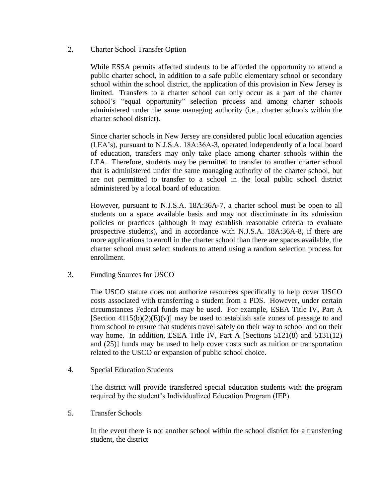2. Charter School Transfer Option

While ESSA permits affected students to be afforded the opportunity to attend a public charter school, in addition to a safe public elementary school or secondary school within the school district, the application of this provision in New Jersey is limited. Transfers to a charter school can only occur as a part of the charter school's "equal opportunity" selection process and among charter schools administered under the same managing authority (i.e., charter schools within the charter school district).

Since charter schools in New Jersey are considered public local education agencies (LEA's), pursuant to N.J.S.A. 18A:36A-3, operated independently of a local board of education, transfers may only take place among charter schools within the LEA. Therefore, students may be permitted to transfer to another charter school that is administered under the same managing authority of the charter school, but are not permitted to transfer to a school in the local public school district administered by a local board of education.

However, pursuant to N.J.S.A. 18A:36A-7, a charter school must be open to all students on a space available basis and may not discriminate in its admission policies or practices (although it may establish reasonable criteria to evaluate prospective students), and in accordance with N.J.S.A. 18A:36A-8, if there are more applications to enroll in the charter school than there are spaces available, the charter school must select students to attend using a random selection process for enrollment.

3. Funding Sources for USCO

The USCO statute does not authorize resources specifically to help cover USCO costs associated with transferring a student from a PDS. However, under certain circumstances Federal funds may be used. For example, ESEA Title IV, Part A [Section  $4115(b)(2)(E)(v)$ ] may be used to establish safe zones of passage to and from school to ensure that students travel safely on their way to school and on their way home. In addition, ESEA Title IV, Part A [Sections 5121(8) and 5131(12) and (25)] funds may be used to help cover costs such as tuition or transportation related to the USCO or expansion of public school choice.

4. Special Education Students

The district will provide transferred special education students with the program required by the student's Individualized Education Program (IEP).

5. Transfer Schools

In the event there is not another school within the school district for a transferring student, the district